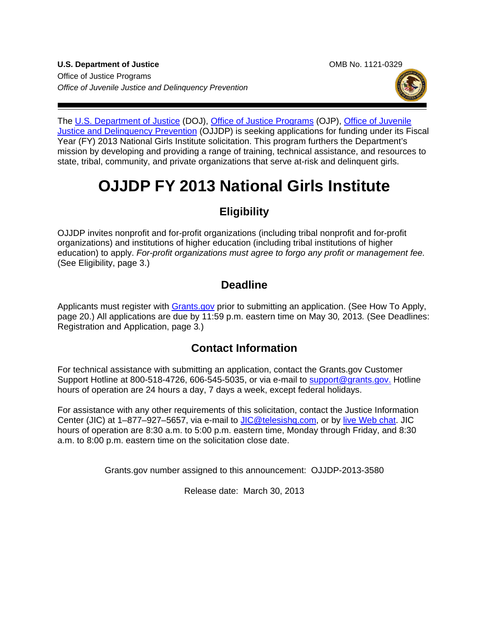**U.S. Department of Justice** OMB No. 1121-0329 Office of Justice Programs *Office of Juvenile Justice and Delinquency Prevention*



The [U.S. Department of Justice](http://www.usdoj.gov/) (DOJ), Office [of Justice Programs](http://www.ojp.usdoj.gov/) (OJP), Office of Juvenile [Justice and Delinquency Prevention](http://www.ojjdp.gov/) (OJJDP) is seeking applications for funding under its Fiscal Year (FY) 2013 National Girls Institute solicitation. This program furthers the Department's mission by developing and providing a range of training, technical assistance, and resources to state, tribal, community, and private organizations that serve at-risk and delinquent girls.

# **OJJDP FY 2013 National Girls Institute**

# **Eligibility**

OJJDP invites nonprofit and for-profit organizations (including tribal nonprofit and for-profit organizations) and institutions of higher education (including tribal institutions of higher education) to apply. *For-profit organizations must agree to forgo any profit or management fee.* (See Eligibility, page 3.)

# **Deadline**

Applicants must register with **Grants.gov** prior to submitting an application. (See How To Apply, page 20.) All applications are due by 11:59 p.m. eastern time on May 30*,* 2013*.* (See Deadlines: Registration and Application, page 3*.*)

# **Contact Information**

For technical assistance with submitting an application, contact the Grants.gov Customer Support Hotline at 800-518-4726, 606-545-5035, or via e-mail to [support@grants.gov.](mailto:support@grants.gov) Hotline hours of operation are 24 hours a day, 7 days a week, except federal holidays.

For assistance with any other requirements of this solicitation, contact the Justice Information Center (JIC) at 1–877–927–5657, via e-mail to [JIC@telesishq.com,](mailto:JIC@telesishq.com) or by [live Web chat.](http://www.justiceinformationcenter.us/) JIC hours of operation are 8:30 a.m. to 5:00 p.m. eastern time, Monday through Friday, and 8:30 a.m. to 8:00 p.m. eastern time on the solicitation close date.

Grants.gov number assigned to this announcement: OJJDP-2013-3580

Release date: March 30, 2013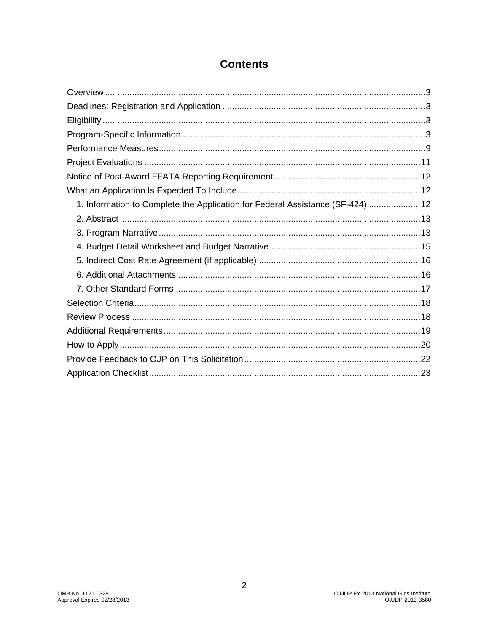| 1. Information to Complete the Application for Federal Assistance (SF-424) 12 |
|-------------------------------------------------------------------------------|
|                                                                               |
|                                                                               |
|                                                                               |
|                                                                               |
|                                                                               |
|                                                                               |
|                                                                               |
|                                                                               |
|                                                                               |
|                                                                               |
|                                                                               |
|                                                                               |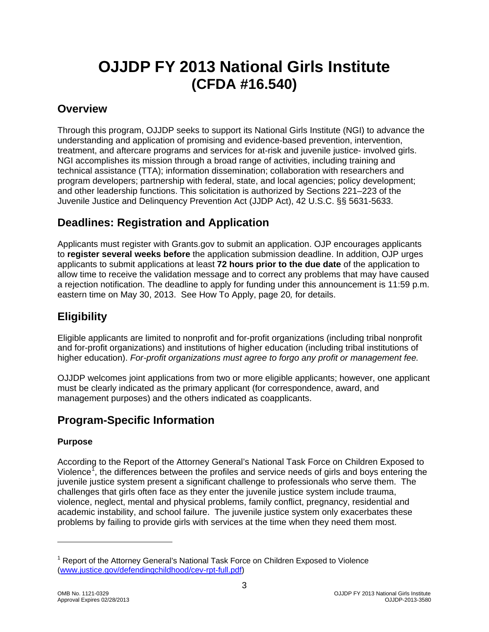# **OJJDP FY 2013 National Girls Institute (CFDA #16.540)**

### <span id="page-2-0"></span>**Overview**

Through this program, OJJDP seeks to support its National Girls Institute (NGI) to advance the understanding and application of promising and evidence-based prevention, intervention, treatment, and aftercare programs and services for at-risk and juvenile justice- involved girls. NGI accomplishes its mission through a broad range of activities, including training and technical assistance (TTA); information dissemination; collaboration with researchers and program developers; partnership with federal, state, and local agencies; policy development; and other leadership functions. This solicitation is authorized by Sections 221–223 of the Juvenile Justice and Delinquency Prevention Act (JJDP Act), 42 U.S.C. §§ 5631-5633.

# <span id="page-2-1"></span>**Deadlines: Registration and Application**

Applicants must register with Grants.gov to submit an application. OJP encourages applicants to **register several weeks before** the application submission deadline. In addition, OJP urges applicants to submit applications at least **72 hours prior to the due date** of the application to allow time to receive the validation message and to correct any problems that may have caused a rejection notification. The deadline to apply for funding under this announcement is 11:59 p.m. eastern time on May 30, 2013. See How To Apply, page 20*,* for details.

# <span id="page-2-2"></span>**Eligibility**

Eligible applicants are limited to nonprofit and for-profit organizations (including tribal nonprofit and for-profit organizations) and institutions of higher education (including tribal institutions of higher education). *For-profit organizations must agree to forgo any profit or management fee.*

OJJDP welcomes joint applications from two or more eligible applicants; however, one applicant must be clearly indicated as the primary applicant (for correspondence, award, and management purposes) and the others indicated as coapplicants.

# <span id="page-2-3"></span>**Program-Specific Information**

#### **Purpose**

According to the Report of the Attorney General's National Task Force on Children Exposed to Violence<sup>[1](#page-2-4)</sup>, the differences between the profiles and service needs of girls and boys entering the juvenile justice system present a significant challenge to professionals who serve them. The challenges that girls often face as they enter the juvenile justice system include trauma, violence, neglect, mental and physical problems, family conflict, pregnancy, residential and academic instability, and school failure. The juvenile justice system only exacerbates these problems by failing to provide girls with services at the time when they need them most.

3

<span id="page-2-4"></span><sup>&</sup>lt;sup>1</sup> Report of the Attorney General's National Task Force on Children Exposed to Violence [\(www.justice.gov/defendingchildhood/cev-rpt-full.pdf\)](http://www.justice.gov/defendingchildhood/cev-rpt-full.pdf)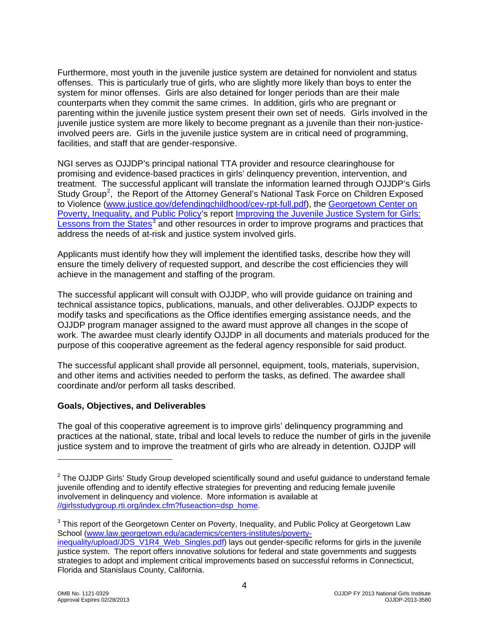Furthermore, most youth in the juvenile justice system are detained for nonviolent and status offenses. This is particularly true of girls, who are slightly more likely than boys to enter the system for minor offenses. Girls are also detained for longer periods than are their male counterparts when they commit the same crimes. In addition, girls who are pregnant or parenting within the juvenile justice system present their own set of needs. Girls involved in the juvenile justice system are more likely to become pregnant as a juvenile than their non-justiceinvolved peers are. Girls in the juvenile justice system are in critical need of programming, facilities, and staff that are gender-responsive.

NGI serves as OJJDP's principal national TTA provider and resource clearinghouse for promising and evidence-based practices in girls' delinquency prevention, intervention, and treatment. The successful applicant will translate the information learned through OJJDP's Girls Study Group<sup>[2](#page-3-0)</sup>, the Report of the Attorney General's National Task Force on Children Exposed to Violence [\(www.justice.gov/defendingchildhood/cev-rpt-full.pdf\)](http://www.justice.gov/defendingchildhood/cev-rpt-full.pdf), the [Georgetown Center on](http://www.law.georgetown.edu/academics/centers-institutes/poverty-inequality/index.cfm)  [Poverty, Inequality, and Public Policy's](http://www.law.georgetown.edu/academics/centers-institutes/poverty-inequality/index.cfm) report [Improving the Juvenile Justice System for Girls:](http://www.law.georgetown.edu/academics/centers-institutes/poverty-inequality/upload/JDS_V1R4_Web_Singles.pdf)  [Lessons from the States](http://www.law.georgetown.edu/academics/centers-institutes/poverty-inequality/upload/JDS_V1R4_Web_Singles.pdf)<sup>[3](#page-3-1)</sup> and other resources in order to improve programs and practices that address the needs of at-risk and justice system involved girls.

Applicants must identify how they will implement the identified tasks, describe how they will ensure the timely delivery of requested support, and describe the cost efficiencies they will achieve in the management and staffing of the program.

The successful applicant will consult with OJJDP, who will provide guidance on training and technical assistance topics, publications, manuals, and other deliverables. OJJDP expects to modify tasks and specifications as the Office identifies emerging assistance needs, and the OJJDP program manager assigned to the award must approve all changes in the scope of work. The awardee must clearly identify OJJDP in all documents and materials produced for the purpose of this cooperative agreement as the federal agency responsible for said product.

The successful applicant shall provide all personnel, equipment, tools, materials, supervision, and other items and activities needed to perform the tasks, as defined. The awardee shall coordinate and/or perform all tasks described.

#### **Goals, Objectives, and Deliverables**

The goal of this cooperative agreement is to improve girls' delinquency programming and practices at the national, state, tribal and local levels to reduce the number of girls in the juvenile justice system and to improve the treatment of girls who are already in detention. OJJDP will

<span id="page-3-0"></span> $2$  The OJJDP Girls' Study Group developed scientifically sound and useful guidance to understand female juvenile offending and to identify effective strategies for preventing and reducing female juvenile involvement in delinquency and violence. More information is available at [//girlsstudygroup.rti.org/index.cfm?fuseaction=dsp\\_home.](http://girlsstudygroup.rti.org/index.cfm?fuseaction=dsp_home)

<span id="page-3-1"></span><sup>&</sup>lt;sup>3</sup> This report of the Georgetown Center on Poverty, Inequality, and Public Policy at Georgetown Law School [\(www.law.georgetown.edu/academics/centers-institutes/poverty-](http://www.law.georgetown.edu/academics/centers-institutes/poverty-inequality/upload/JDS_V1R4_Web_Singles.pdf)

[inequality/upload/JDS\\_V1R4\\_Web\\_Singles.pdf\)](http://www.law.georgetown.edu/academics/centers-institutes/poverty-inequality/upload/JDS_V1R4_Web_Singles.pdf) lays out gender-specific reforms for girls in the juvenile justice system. The report offers innovative solutions for federal and state governments and suggests strategies to adopt and implement critical improvements based on successful reforms in Connecticut, Florida and Stanislaus County, California.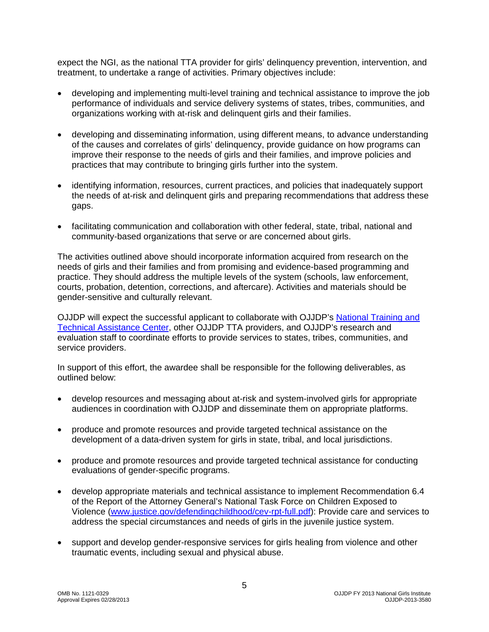expect the NGI, as the national TTA provider for girls' delinquency prevention, intervention, and treatment, to undertake a range of activities. Primary objectives include:

- developing and implementing multi-level training and technical assistance to improve the job performance of individuals and service delivery systems of states, tribes, communities, and organizations working with at-risk and delinquent girls and their families.
- developing and disseminating information, using different means, to advance understanding of the causes and correlates of girls' delinquency, provide guidance on how programs can improve their response to the needs of girls and their families, and improve policies and practices that may contribute to bringing girls further into the system.
- identifying information, resources, current practices, and policies that inadequately support the needs of at-risk and delinquent girls and preparing recommendations that address these gaps.
- facilitating communication and collaboration with other federal, state, tribal, national and community-based organizations that serve or are concerned about girls.

The activities outlined above should incorporate information acquired from research on the needs of girls and their families and from promising and evidence-based programming and practice. They should address the multiple levels of the system (schools, law enforcement, courts, probation, detention, corrections, and aftercare). Activities and materials should be gender-sensitive and culturally relevant.

OJJDP will expect the successful applicant to collaborate with OJJDP's [National Training and](https://www.nttac.org/)  [Technical Assistance Center,](https://www.nttac.org/) other OJJDP TTA providers, and OJJDP's research and evaluation staff to coordinate efforts to provide services to states, tribes, communities, and service providers.

In support of this effort, the awardee shall be responsible for the following deliverables, as outlined below:

- develop resources and messaging about at-risk and system-involved girls for appropriate audiences in coordination with OJJDP and disseminate them on appropriate platforms.
- produce and promote resources and provide targeted technical assistance on the development of a data-driven system for girls in state, tribal, and local jurisdictions.
- produce and promote resources and provide targeted technical assistance for conducting evaluations of gender-specific programs.
- develop appropriate materials and technical assistance to implement Recommendation 6.4 of the Report of the Attorney General's National Task Force on Children Exposed to Violence (www.justice.gov/defendingchildhood/cev-rpt-full.pdf): Provide care and services to address the special circumstances and needs of girls in the juvenile justice system.
- support and develop gender-responsive services for girls healing from violence and other traumatic events, including sexual and physical abuse.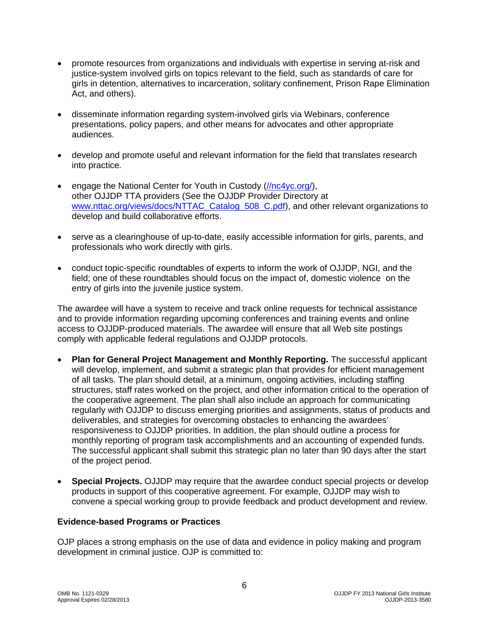- promote resources from organizations and individuals with expertise in serving at-risk and justice-system involved girls on topics relevant to the field, such as standards of care for girls in detention, alternatives to incarceration, solitary confinement, Prison Rape Elimination Act, and others).
- disseminate information regarding system-involved girls via Webinars, conference presentations, policy papers, and other means for advocates and other appropriate audiences.
- develop and promote useful and relevant information for the field that translates research into practice.
- engage the National Center for Youth in Custody [\(//nc4yc.org/\)](http://nc4yc.org/), other OJJDP TTA providers (See the OJJDP Provider Directory at [www.nttac.org/views/docs/NTTAC\\_Catalog\\_508\\_C.pdf\)](http://www.nttac.org/views/docs/NTTAC_Catalog_508_C.pdf), and other relevant organizations to develop and build collaborative efforts.
- serve as a clearinghouse of up-to-date, easily accessible information for girls, parents, and professionals who work directly with girls.
- conduct topic-specific roundtables of experts to inform the work of OJJDP, NGI, and the field; one of these roundtables should focus on the impact of, domestic violence on the entry of girls into the juvenile justice system.

The awardee will have a system to receive and track online requests for technical assistance and to provide information regarding upcoming conferences and training events and online access to OJJDP-produced materials. The awardee will ensure that all Web site postings comply with applicable federal regulations and OJJDP protocols.

- **Plan for General Project Management and Monthly Reporting.** The successful applicant will develop, implement, and submit a strategic plan that provides for efficient management of all tasks. The plan should detail, at a minimum, ongoing activities, including staffing structures, staff rates worked on the project, and other information critical to the operation of the cooperative agreement. The plan shall also include an approach for communicating regularly with OJJDP to discuss emerging priorities and assignments, status of products and deliverables, and strategies for overcoming obstacles to enhancing the awardees' responsiveness to OJJDP priorities. In addition, the plan should outline a process for monthly reporting of program task accomplishments and an accounting of expended funds. The successful applicant shall submit this strategic plan no later than 90 days after the start of the project period.
- **Special Projects.** OJJDP may require that the awardee conduct special projects or develop products in support of this cooperative agreement. For example, OJJDP may wish to convene a special working group to provide feedback and product development and review.

#### **Evidence-based Programs or Practices**

OJP places a strong emphasis on the use of data and evidence in policy making and program development in criminal justice. OJP is committed to: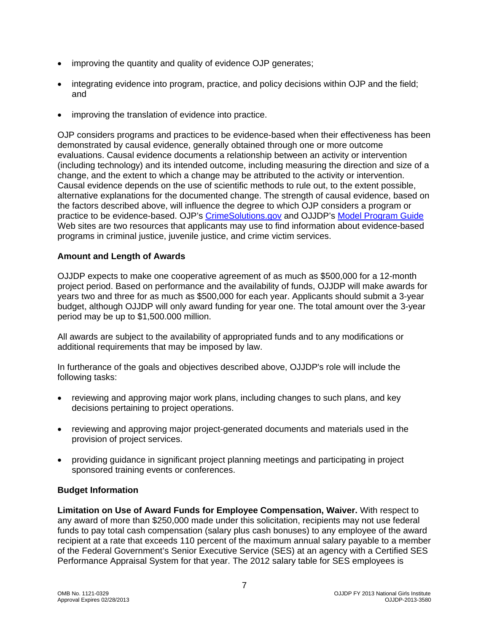- improving the quantity and quality of evidence OJP generates;
- integrating evidence into program, practice, and policy decisions within OJP and the field; and
- improving the translation of evidence into practice.

OJP considers programs and practices to be evidence-based when their effectiveness has been demonstrated by causal evidence, generally obtained through one or more outcome evaluations. Causal evidence documents a relationship between an activity or intervention (including technology) and its intended outcome, including measuring the direction and size of a change, and the extent to which a change may be attributed to the activity or intervention. Causal evidence depends on the use of scientific methods to rule out, to the extent possible, alternative explanations for the documented change. The strength of causal evidence, based on the factors described above, will influence the degree to which OJP considers a program or practice to be evidence-based. OJP's [CrimeSolutions.gov](http://www.crimesolutions.gov/) and OJJDP's [Model Program Guide](http://www.ojjdp.gov/mpg/) Web sites are two resources that applicants may use to find information about evidence-based programs in criminal justice, juvenile justice, and crime victim services.

#### **Amount and Length of Awards**

OJJDP expects to make one cooperative agreement of as much as \$500,000 for a 12-month project period. Based on performance and the availability of funds, OJJDP will make awards for years two and three for as much as \$500,000 for each year. Applicants should submit a 3-year budget, although OJJDP will only award funding for year one. The total amount over the 3-year period may be up to \$1,500.000 million.

All awards are subject to the availability of appropriated funds and to any modifications or additional requirements that may be imposed by law.

In furtherance of the goals and objectives described above, OJJDP's role will include the following tasks:

- reviewing and approving major work plans, including changes to such plans, and key decisions pertaining to project operations.
- reviewing and approving major project-generated documents and materials used in the provision of project services.
- providing guidance in significant project planning meetings and participating in project sponsored training events or conferences.

#### **Budget Information**

**Limitation on Use of Award Funds for Employee Compensation, Waiver.** With respect to any award of more than \$250,000 made under this solicitation, recipients may not use federal funds to pay total cash compensation (salary plus cash bonuses) to any employee of the award recipient at a rate that exceeds 110 percent of the maximum annual salary payable to a member of the Federal Government's Senior Executive Service (SES) at an agency with a Certified SES Performance Appraisal System for that year. The 2012 salary table for SES employees is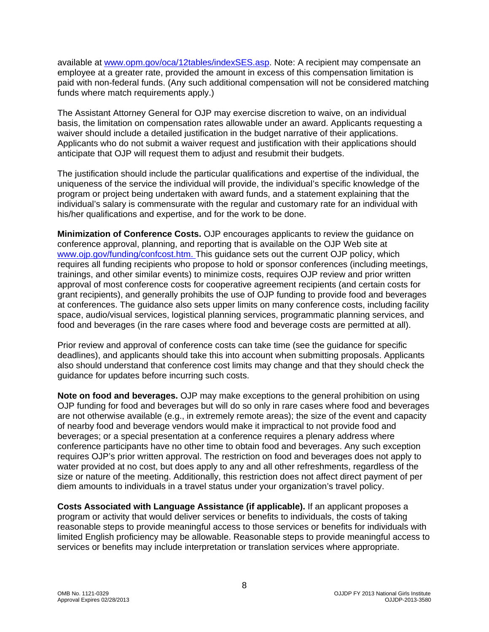available at [www.opm.gov/oca/12tables/indexSES.asp.](http://www.opm.gov/oca/12tables/indexSES.asp) Note: A recipient may compensate an employee at a greater rate, provided the amount in excess of this compensation limitation is paid with non-federal funds. (Any such additional compensation will not be considered matching funds where match requirements apply.)

The Assistant Attorney General for OJP may exercise discretion to waive, on an individual basis, the limitation on compensation rates allowable under an award. Applicants requesting a waiver should include a detailed justification in the budget narrative of their applications. Applicants who do not submit a waiver request and justification with their applications should anticipate that OJP will request them to adjust and resubmit their budgets.

The justification should include the particular qualifications and expertise of the individual, the uniqueness of the service the individual will provide, the individual's specific knowledge of the program or project being undertaken with award funds, and a statement explaining that the individual's salary is commensurate with the regular and customary rate for an individual with his/her qualifications and expertise, and for the work to be done.

**Minimization of Conference Costs.** OJP encourages applicants to review the guidance on conference approval, planning, and reporting that is available on the OJP Web site at [www.ojp.gov/funding/confcost.htm.](http://www.ojp.gov/funding/confcost.htm) This guidance sets out the current OJP policy, which requires all funding recipients who propose to hold or sponsor conferences (including meetings, trainings, and other similar events) to minimize costs, requires OJP review and prior written approval of most conference costs for cooperative agreement recipients (and certain costs for grant recipients), and generally prohibits the use of OJP funding to provide food and beverages at conferences. The guidance also sets upper limits on many conference costs, including facility space, audio/visual services, logistical planning services, programmatic planning services, and food and beverages (in the rare cases where food and beverage costs are permitted at all).

Prior review and approval of conference costs can take time (see the guidance for specific deadlines), and applicants should take this into account when submitting proposals. Applicants also should understand that conference cost limits may change and that they should check the guidance for updates before incurring such costs.

**Note on food and beverages.** OJP may make exceptions to the general prohibition on using OJP funding for food and beverages but will do so only in rare cases where food and beverages are not otherwise available (e.g., in extremely remote areas); the size of the event and capacity of nearby food and beverage vendors would make it impractical to not provide food and beverages; or a special presentation at a conference requires a plenary address where conference participants have no other time to obtain food and beverages. Any such exception requires OJP's prior written approval. The restriction on food and beverages does not apply to water provided at no cost, but does apply to any and all other refreshments, regardless of the size or nature of the meeting. Additionally, this restriction does not affect direct payment of per diem amounts to individuals in a travel status under your organization's travel policy.

**Costs Associated with Language Assistance (if applicable).** If an applicant proposes a program or activity that would deliver services or benefits to individuals, the costs of taking reasonable steps to provide meaningful access to those services or benefits for individuals with limited English proficiency may be allowable. Reasonable steps to provide meaningful access to services or benefits may include interpretation or translation services where appropriate.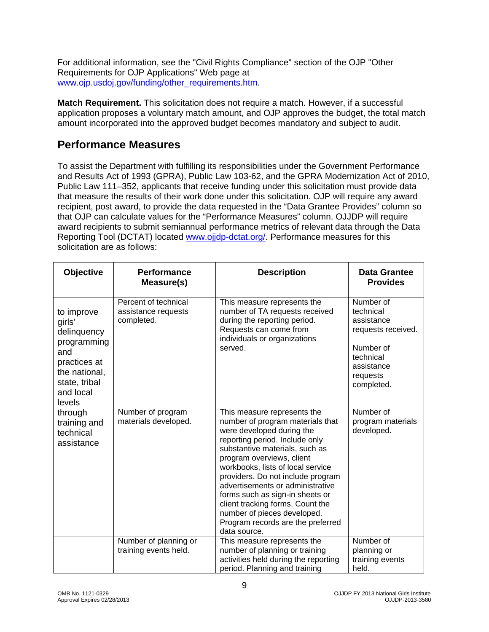For additional information, see the "Civil Rights Compliance" section of the OJP "Other Requirements for OJP Applications" Web page at [www.ojp.usdoj.gov/funding/other\\_requirements.htm.](http://www.ojp.usdoj.gov/funding/other_requirements.htm)

**Match Requirement.** This solicitation does not require a match. However, if a successful application proposes a voluntary match amount, and OJP approves the budget, the total match amount incorporated into the approved budget becomes mandatory and subject to audit.

### <span id="page-8-0"></span>**Performance Measures**

To assist the Department with fulfilling its responsibilities under the Government Performance and Results Act of 1993 (GPRA), Public Law 103-62, and the GPRA Modernization Act of 2010, Public Law 111–352, applicants that receive funding under this solicitation must provide data that measure the results of their work done under this solicitation. OJP will require any award recipient, post award, to provide the data requested in the "Data Grantee Provides" column so that OJP can calculate values for the "Performance Measures" column. OJJDP will require award recipients to submit semiannual performance metrics of relevant data through the Data Reporting Tool (DCTAT) located [www.ojjdp-dctat.org/.](http://www.ojjdp-dctat.org/) Performance measures for this solicitation are as follows:

| Objective                                                                                                                          | <b>Performance</b><br>Measure(s)                          | <b>Description</b>                                                                                                                                                                                                                                                                                                                                                                                                                                                     | <b>Data Grantee</b><br><b>Provides</b>                                                                                       |
|------------------------------------------------------------------------------------------------------------------------------------|-----------------------------------------------------------|------------------------------------------------------------------------------------------------------------------------------------------------------------------------------------------------------------------------------------------------------------------------------------------------------------------------------------------------------------------------------------------------------------------------------------------------------------------------|------------------------------------------------------------------------------------------------------------------------------|
| to improve<br>girls'<br>delinquency<br>programming<br>and<br>practices at<br>the national,<br>state, tribal<br>and local<br>levels | Percent of technical<br>assistance requests<br>completed. | This measure represents the<br>number of TA requests received<br>during the reporting period.<br>Requests can come from<br>individuals or organizations<br>served.                                                                                                                                                                                                                                                                                                     | Number of<br>technical<br>assistance<br>requests received.<br>Number of<br>technical<br>assistance<br>requests<br>completed. |
| through<br>training and<br>technical<br>assistance                                                                                 | Number of program<br>materials developed.                 | This measure represents the<br>number of program materials that<br>were developed during the<br>reporting period. Include only<br>substantive materials, such as<br>program overviews, client<br>workbooks, lists of local service<br>providers. Do not include program<br>advertisements or administrative<br>forms such as sign-in sheets or<br>client tracking forms. Count the<br>number of pieces developed.<br>Program records are the preferred<br>data source. | Number of<br>program materials<br>developed.                                                                                 |
|                                                                                                                                    | Number of planning or<br>training events held.            | This measure represents the<br>number of planning or training<br>activities held during the reporting<br>period. Planning and training                                                                                                                                                                                                                                                                                                                                 | Number of<br>planning or<br>training events<br>held.                                                                         |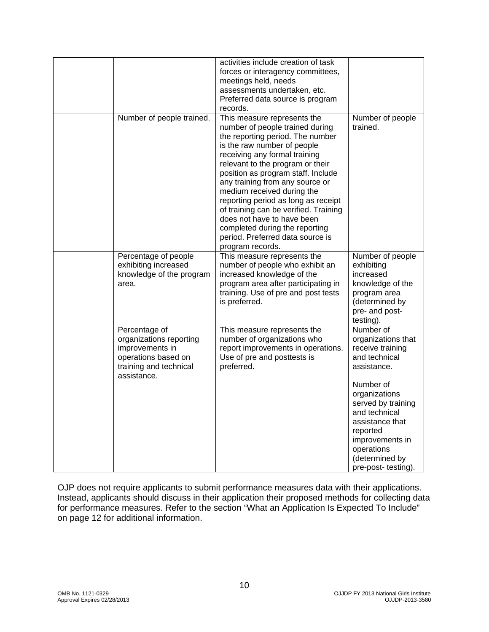|                                                                                                                             | activities include creation of task<br>forces or interagency committees,<br>meetings held, needs<br>assessments undertaken, etc.<br>Preferred data source is program<br>records.                                                                                                                                                                                                                                                                                                                                      |                                                                                                                                                                                                                                                                   |
|-----------------------------------------------------------------------------------------------------------------------------|-----------------------------------------------------------------------------------------------------------------------------------------------------------------------------------------------------------------------------------------------------------------------------------------------------------------------------------------------------------------------------------------------------------------------------------------------------------------------------------------------------------------------|-------------------------------------------------------------------------------------------------------------------------------------------------------------------------------------------------------------------------------------------------------------------|
| Number of people trained.                                                                                                   | This measure represents the<br>number of people trained during<br>the reporting period. The number<br>is the raw number of people<br>receiving any formal training<br>relevant to the program or their<br>position as program staff. Include<br>any training from any source or<br>medium received during the<br>reporting period as long as receipt<br>of training can be verified. Training<br>does not have to have been<br>completed during the reporting<br>period. Preferred data source is<br>program records. | Number of people<br>trained.                                                                                                                                                                                                                                      |
| Percentage of people<br>exhibiting increased<br>knowledge of the program<br>area.                                           | This measure represents the<br>number of people who exhibit an<br>increased knowledge of the<br>program area after participating in<br>training. Use of pre and post tests<br>is preferred.                                                                                                                                                                                                                                                                                                                           | Number of people<br>exhibiting<br>increased<br>knowledge of the<br>program area<br>(determined by<br>pre- and post-<br>testing).                                                                                                                                  |
| Percentage of<br>organizations reporting<br>improvements in<br>operations based on<br>training and technical<br>assistance. | This measure represents the<br>number of organizations who<br>report improvements in operations.<br>Use of pre and posttests is<br>preferred.                                                                                                                                                                                                                                                                                                                                                                         | Number of<br>organizations that<br>receive training<br>and technical<br>assistance.<br>Number of<br>organizations<br>served by training<br>and technical<br>assistance that<br>reported<br>improvements in<br>operations<br>(determined by<br>pre-post- testing). |

OJP does not require applicants to submit performance measures data with their applications. Instead, applicants should discuss in their application their proposed methods for collecting data for performance measures. Refer to the section "What an Application Is Expected To Include" on page 12 for additional information.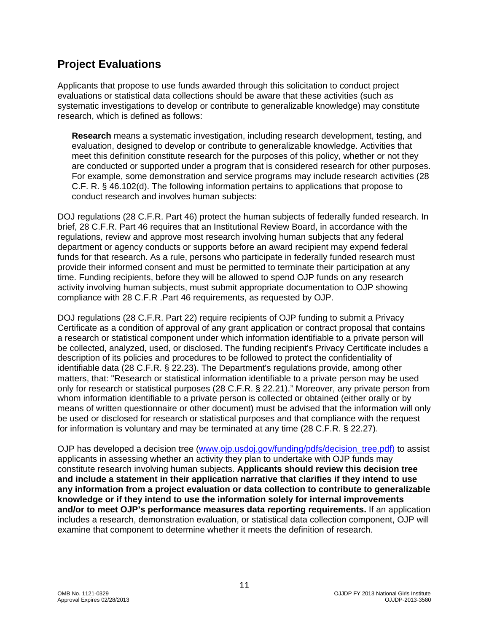### <span id="page-10-0"></span>**Project Evaluations**

Applicants that propose to use funds awarded through this solicitation to conduct project evaluations or statistical data collections should be aware that these activities (such as systematic investigations to develop or contribute to generalizable knowledge) may constitute research, which is defined as follows:

**Research** means a systematic investigation, including research development, testing, and evaluation, designed to develop or contribute to generalizable knowledge. Activities that meet this definition constitute research for the purposes of this policy, whether or not they are conducted or supported under a program that is considered research for other purposes. For example, some demonstration and service programs may include research activities (28 C.F. R. § 46.102(d). The following information pertains to applications that propose to conduct research and involves human subjects:

DOJ regulations (28 C.F.R. Part 46) protect the human subjects of federally funded research. In brief, 28 C.F.R. Part 46 requires that an Institutional Review Board, in accordance with the regulations, review and approve most research involving human subjects that any federal department or agency conducts or supports before an award recipient may expend federal funds for that research. As a rule, persons who participate in federally funded research must provide their informed consent and must be permitted to terminate their participation at any time. Funding recipients, before they will be allowed to spend OJP funds on any research activity involving human subjects, must submit appropriate documentation to OJP showing compliance with 28 C.F.R .Part 46 requirements, as requested by OJP.

DOJ regulations (28 C.F.R. Part 22) require recipients of OJP funding to submit a Privacy Certificate as a condition of approval of any grant application or contract proposal that contains a research or statistical component under which information identifiable to a private person will be collected, analyzed, used, or disclosed. The funding recipient's Privacy Certificate includes a description of its policies and procedures to be followed to protect the confidentiality of identifiable data (28 C.F.R. § 22.23). The Department's regulations provide, among other matters, that: "Research or statistical information identifiable to a private person may be used only for research or statistical purposes (28 C.F.R. § 22.21)." Moreover, any private person from whom information identifiable to a private person is collected or obtained (either orally or by means of written questionnaire or other document) must be advised that the information will only be used or disclosed for research or statistical purposes and that compliance with the request for information is voluntary and may be terminated at any time (28 C.F.R. § 22.27).

OJP has developed a decision tree (www.oip.usdoi.gov/funding/pdfs/decision\_tree.pdf) to assist applicants in assessing whether an activity they plan to undertake with OJP funds may constitute research involving human subjects. **Applicants should review this decision tree and include a statement in their application narrative that clarifies if they intend to use any information from a project evaluation or data collection to contribute to generalizable knowledge or if they intend to use the information solely for internal improvements and/or to meet OJP's performance measures data reporting requirements.** If an application includes a research, demonstration evaluation, or statistical data collection component, OJP will examine that component to determine whether it meets the definition of research.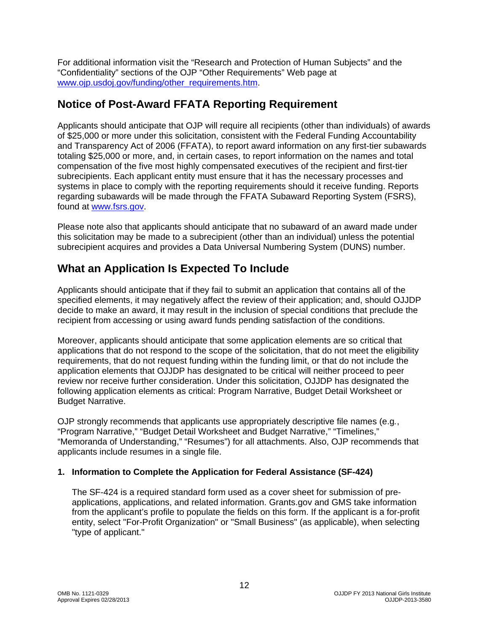For additional information visit the "Research and Protection of Human Subjects" and the "Confidentiality" sections of the OJP "Other Requirements" Web page at [www.ojp.usdoj.gov/funding/other\\_requirements.htm.](http://www.ojp.usdoj.gov/funding/other_requirements.htm)

### <span id="page-11-0"></span>**Notice of Post-Award FFATA Reporting Requirement**

Applicants should anticipate that OJP will require all recipients (other than individuals) of awards of \$25,000 or more under this solicitation, consistent with the Federal Funding Accountability and Transparency Act of 2006 (FFATA), to report award information on any first-tier subawards totaling \$25,000 or more, and, in certain cases, to report information on the names and total compensation of the five most highly compensated executives of the recipient and first-tier subrecipients. Each applicant entity must ensure that it has the necessary processes and systems in place to comply with the reporting requirements should it receive funding. Reports regarding subawards will be made through the FFATA Subaward Reporting System (FSRS), found at [www.fsrs.gov.](https://www.fsrs.gov/)

Please note also that applicants should anticipate that no subaward of an award made under this solicitation may be made to a subrecipient (other than an individual) unless the potential subrecipient acquires and provides a Data Universal Numbering System (DUNS) number.

# <span id="page-11-1"></span>**What an Application Is Expected To Include**

Applicants should anticipate that if they fail to submit an application that contains all of the specified elements, it may negatively affect the review of their application; and, should OJJDP decide to make an award, it may result in the inclusion of special conditions that preclude the recipient from accessing or using award funds pending satisfaction of the conditions.

Moreover, applicants should anticipate that some application elements are so critical that applications that do not respond to the scope of the solicitation, that do not meet the eligibility requirements, that do not request funding within the funding limit, or that do not include the application elements that OJJDP has designated to be critical will neither proceed to peer review nor receive further consideration. Under this solicitation, OJJDP has designated the following application elements as critical: Program Narrative, Budget Detail Worksheet or Budget Narrative.

OJP strongly recommends that applicants use appropriately descriptive file names (e.g*.*, "Program Narrative," "Budget Detail Worksheet and Budget Narrative," "Timelines," "Memoranda of Understanding," "Resumes") for all attachments. Also, OJP recommends that applicants include resumes in a single file.

#### <span id="page-11-2"></span>**1. Information to Complete the Application for Federal Assistance (SF-424)**

The SF-424 is a required standard form used as a cover sheet for submission of preapplications, applications, and related information. Grants.gov and GMS take information from the applicant's profile to populate the fields on this form. If the applicant is a for-profit entity, select "For-Profit Organization" or "Small Business" (as applicable), when selecting "type of applicant."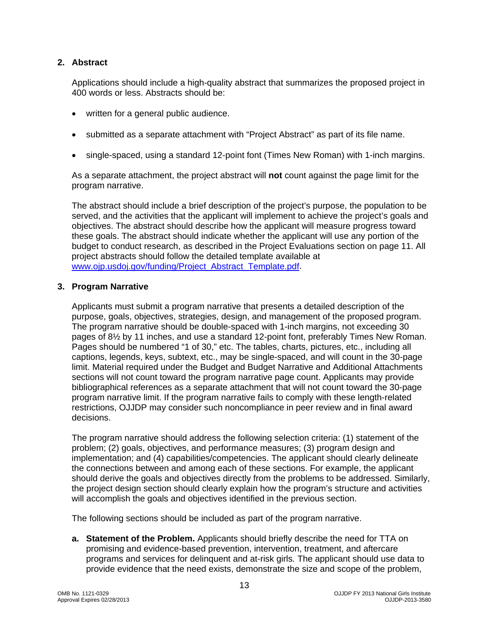#### <span id="page-12-0"></span>**2. Abstract**

Applications should include a high-quality abstract that summarizes the proposed project in 400 words or less. Abstracts should be:

- written for a general public audience.
- submitted as a separate attachment with "Project Abstract" as part of its file name.
- single-spaced, using a standard 12-point font (Times New Roman) with 1-inch margins.

As a separate attachment, the project abstract will **not** count against the page limit for the program narrative.

The abstract should include a brief description of the project's purpose, the population to be served, and the activities that the applicant will implement to achieve the project's goals and objectives. The abstract should describe how the applicant will measure progress toward these goals. The abstract should indicate whether the applicant will use any portion of the budget to conduct research, as described in the Project Evaluations section on page 11. All project abstracts should follow the detailed template available at www.oip.usdoi.gov/funding/Project\_Abstract\_Template.pdf.

#### <span id="page-12-1"></span>**3. Program Narrative**

Applicants must submit a program narrative that presents a detailed description of the purpose, goals, objectives, strategies, design, and management of the proposed program. The program narrative should be double-spaced with 1-inch margins, not exceeding 30 pages of 8½ by 11 inches, and use a standard 12-point font, preferably Times New Roman. Pages should be numbered "1 of 30," etc. The tables, charts, pictures, etc., including all captions, legends, keys, subtext, etc., may be single-spaced, and will count in the 30-page limit. Material required under the Budget and Budget Narrative and Additional Attachments sections will not count toward the program narrative page count. Applicants may provide bibliographical references as a separate attachment that will not count toward the 30-page program narrative limit. If the program narrative fails to comply with these length-related restrictions, OJJDP may consider such noncompliance in peer review and in final award decisions.

The program narrative should address the following selection criteria: (1) statement of the problem; (2) goals, objectives, and performance measures; (3) program design and implementation; and (4) capabilities/competencies. The applicant should clearly delineate the connections between and among each of these sections. For example, the applicant should derive the goals and objectives directly from the problems to be addressed. Similarly, the project design section should clearly explain how the program's structure and activities will accomplish the goals and objectives identified in the previous section.

The following sections should be included as part of the program narrative.

**a. Statement of the Problem.** Applicants should briefly describe the need for TTA on promising and evidence-based prevention, intervention, treatment, and aftercare programs and services for delinquent and at-risk girls*.* The applicant should use data to provide evidence that the need exists, demonstrate the size and scope of the problem,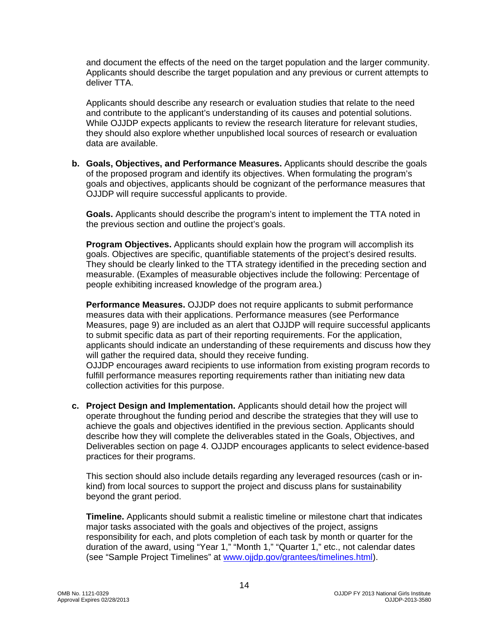and document the effects of the need on the target population and the larger community. Applicants should describe the target population and any previous or current attempts to deliver TTA.

Applicants should describe any research or evaluation studies that relate to the need and contribute to the applicant's understanding of its causes and potential solutions. While OJJDP expects applicants to review the research literature for relevant studies, they should also explore whether unpublished local sources of research or evaluation data are available.

**b. Goals, Objectives, and Performance Measures.** Applicants should describe the goals of the proposed program and identify its objectives. When formulating the program's goals and objectives, applicants should be cognizant of the performance measures that OJJDP will require successful applicants to provide.

**Goals.** Applicants should describe the program's intent to implement the TTA noted in the previous section and outline the project's goals.

**Program Objectives.** Applicants should explain how the program will accomplish its goals. Objectives are specific, quantifiable statements of the project's desired results. They should be clearly linked to the TTA strategy identified in the preceding section and measurable. (Examples of measurable objectives include the following: Percentage of people exhibiting increased knowledge of the program area.)

**Performance Measures.** OJJDP does not require applicants to submit performance measures data with their applications. Performance measures (see Performance Measures, page 9) are included as an alert that OJJDP will require successful applicants to submit specific data as part of their reporting requirements. For the application, applicants should indicate an understanding of these requirements and discuss how they will gather the required data, should they receive funding.

OJJDP encourages award recipients to use information from existing program records to fulfill performance measures reporting requirements rather than initiating new data collection activities for this purpose.

**c. Project Design and Implementation.** Applicants should detail how the project will operate throughout the funding period and describe the strategies that they will use to achieve the goals and objectives identified in the previous section. Applicants should describe how they will complete the deliverables stated in the Goals, Objectives, and Deliverables section on page 4. OJJDP encourages applicants to select evidence-based practices for their programs.

This section should also include details regarding any leveraged resources (cash or inkind) from local sources to support the project and discuss plans for sustainability beyond the grant period.

**Timeline.** Applicants should submit a realistic timeline or milestone chart that indicates major tasks associated with the goals and objectives of the project, assigns responsibility for each, and plots completion of each task by month or quarter for the duration of the award, using "Year 1," "Month 1," "Quarter 1," etc., not calendar dates (see "Sample Project Timelines" at [www.ojjdp.gov/grantees/timelines.html\)](http://www.ojjdp.gov/grantees/timelines.html).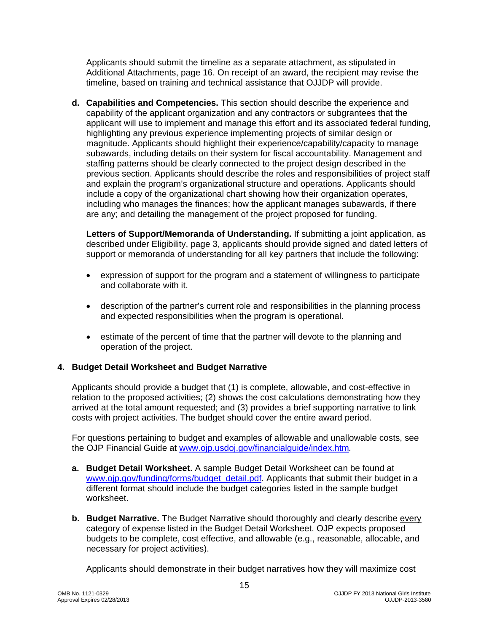Applicants should submit the timeline as a separate attachment, as stipulated in Additional Attachments, page 16. On receipt of an award, the recipient may revise the timeline, based on training and technical assistance that OJJDP will provide.

**d. Capabilities and Competencies.** This section should describe the experience and capability of the applicant organization and any contractors or subgrantees that the applicant will use to implement and manage this effort and its associated federal funding, highlighting any previous experience implementing projects of similar design or magnitude. Applicants should highlight their experience/capability/capacity to manage subawards, including details on their system for fiscal accountability. Management and staffing patterns should be clearly connected to the project design described in the previous section. Applicants should describe the roles and responsibilities of project staff and explain the program's organizational structure and operations. Applicants should include a copy of the organizational chart showing how their organization operates, including who manages the finances; how the applicant manages subawards, if there are any; and detailing the management of the project proposed for funding.

**Letters of Support/Memoranda of Understanding.** If submitting a joint application, as described under Eligibility, page 3, applicants should provide signed and dated letters of support or memoranda of understanding for all key partners that include the following:

- expression of support for the program and a statement of willingness to participate and collaborate with it.
- description of the partner's current role and responsibilities in the planning process and expected responsibilities when the program is operational.
- estimate of the percent of time that the partner will devote to the planning and operation of the project.

#### <span id="page-14-0"></span>**4. Budget Detail Worksheet and Budget Narrative**

Applicants should provide a budget that (1) is complete, allowable, and cost-effective in relation to the proposed activities; (2) shows the cost calculations demonstrating how they arrived at the total amount requested; and (3) provides a brief supporting narrative to link costs with project activities. The budget should cover the entire award period.

For questions pertaining to budget and examples of allowable and unallowable costs, see the OJP Financial Guide at [www.ojp.usdoj.gov/financialguide/index.htm](http://www.ojp.usdoj.gov/financialguide/index.htm)*.*

- **a. Budget Detail Worksheet.** A sample Budget Detail Worksheet can be found at [www.ojp.gov/funding/forms/budget\\_detail.pdf.](http://www.ojp.gov/funding/forms/budget_detail.pdf) Applicants that submit their budget in a different format should include the budget categories listed in the sample budget worksheet.
- **b. Budget Narrative.** The Budget Narrative should thoroughly and clearly describe every category of expense listed in the Budget Detail Worksheet. OJP expects proposed budgets to be complete, cost effective, and allowable (e.g., reasonable, allocable, and necessary for project activities).

Applicants should demonstrate in their budget narratives how they will maximize cost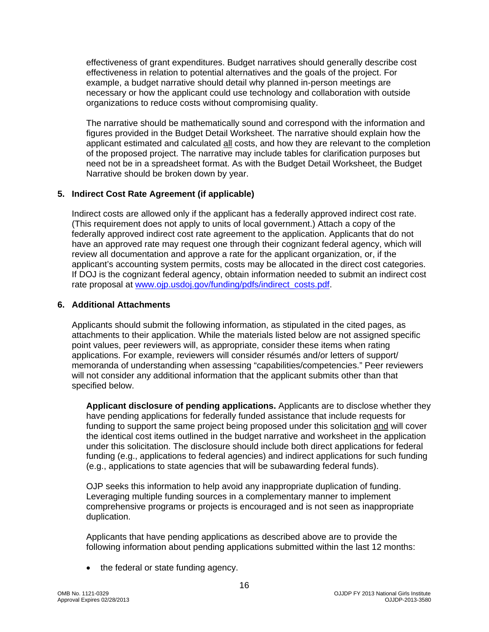effectiveness of grant expenditures. Budget narratives should generally describe cost effectiveness in relation to potential alternatives and the goals of the project. For example, a budget narrative should detail why planned in-person meetings are necessary or how the applicant could use technology and collaboration with outside organizations to reduce costs without compromising quality.

The narrative should be mathematically sound and correspond with the information and figures provided in the Budget Detail Worksheet. The narrative should explain how the applicant estimated and calculated all costs, and how they are relevant to the completion of the proposed project. The narrative may include tables for clarification purposes but need not be in a spreadsheet format. As with the Budget Detail Worksheet, the Budget Narrative should be broken down by year.

#### <span id="page-15-0"></span>**5. Indirect Cost Rate Agreement (if applicable)**

Indirect costs are allowed only if the applicant has a federally approved indirect cost rate. (This requirement does not apply to units of local government.) Attach a copy of the federally approved indirect cost rate agreement to the application. Applicants that do not have an approved rate may request one through their cognizant federal agency, which will review all documentation and approve a rate for the applicant organization, or, if the applicant's accounting system permits, costs may be allocated in the direct cost categories. If DOJ is the cognizant federal agency, obtain information needed to submit an indirect cost rate proposal at [www.ojp.usdoj.gov/funding/pdfs/indirect\\_costs.pdf.](http://www.ojp.usdoj.gov/funding/pdfs/indirect_costs.pdf)

#### <span id="page-15-1"></span>**6. Additional Attachments**

Applicants should submit the following information, as stipulated in the cited pages, as attachments to their application. While the materials listed below are not assigned specific point values, peer reviewers will, as appropriate, consider these items when rating applications. For example, reviewers will consider résumés and/or letters of support/ memoranda of understanding when assessing "capabilities/competencies." Peer reviewers will not consider any additional information that the applicant submits other than that specified below.

**Applicant disclosure of pending applications.** Applicants are to disclose whether they have pending applications for federally funded assistance that include requests for funding to support the same project being proposed under this solicitation and will cover the identical cost items outlined in the budget narrative and worksheet in the application under this solicitation. The disclosure should include both direct applications for federal funding (e.g., applications to federal agencies) and indirect applications for such funding (e.g., applications to state agencies that will be subawarding federal funds).

OJP seeks this information to help avoid any inappropriate duplication of funding. Leveraging multiple funding sources in a complementary manner to implement comprehensive programs or projects is encouraged and is not seen as inappropriate duplication.

Applicants that have pending applications as described above are to provide the following information about pending applications submitted within the last 12 months:

• the federal or state funding agency.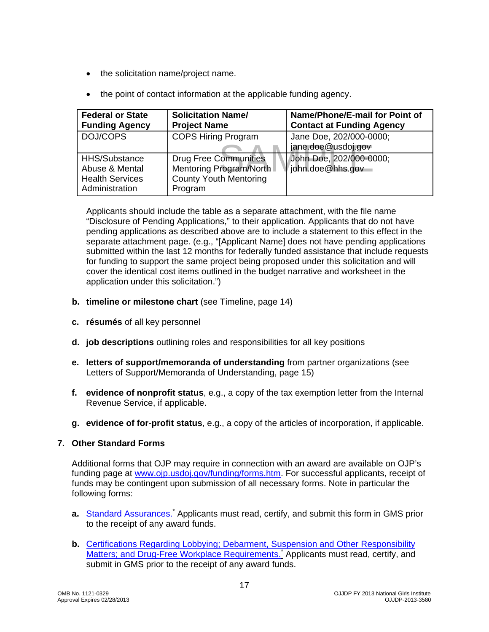- the solicitation name/project name.
- the point of contact information at the applicable funding agency.

| <b>Federal or State</b><br><b>Funding Agency</b>                            | <b>Solicitation Name/</b><br><b>Project Name</b>                                                    | Name/Phone/E-mail for Point of<br><b>Contact at Funding Agency</b> |
|-----------------------------------------------------------------------------|-----------------------------------------------------------------------------------------------------|--------------------------------------------------------------------|
| DOJ/COPS                                                                    | <b>COPS Hiring Program</b>                                                                          | Jane Doe, 202/000-0000;<br>jane.doe@usdoj.gov                      |
| HHS/Substance<br>Abuse & Mental<br><b>Health Services</b><br>Administration | <b>Drug Free Communities</b><br>Mentoring Program/North<br><b>County Youth Mentoring</b><br>Program | John Doe, 202/000-0000;<br>l/john.doe@hhs.gov                      |

Applicants should include the table as a separate attachment, with the file name "Disclosure of Pending Applications," to their application. Applicants that do not have pending applications as described above are to include a statement to this effect in the separate attachment page. (e.g., "[Applicant Name] does not have pending applications submitted within the last 12 months for federally funded assistance that include requests for funding to support the same project being proposed under this solicitation and will cover the identical cost items outlined in the budget narrative and worksheet in the application under this solicitation.")

- **b. timeline or milestone chart** (see Timeline, page 14)
- **c. résumés** of all key personnel
- **d. job descriptions** outlining roles and responsibilities for all key positions
- **e. letters of support/memoranda of understanding** from partner organizations (see Letters of Support/Memoranda of Understanding, page 15)
- **f. evidence of nonprofit status**, e.g., a copy of the tax exemption letter from the Internal Revenue Service, if applicable.
- **g. evidence of for-profit status**, e.g., a copy of the articles of incorporation, if applicable.

#### <span id="page-16-0"></span>**7. Other Standard Forms**

funds may be contingent upon submission of all necessary forms. Note in particular the following forms: Additional forms that OJP may require in connection with an award are available on OJP's funding page at [www.ojp.usdoj.gov/funding/forms.htm.](http://www.ojp.usdoj.gov/funding/forms.htm) For successful applicants, receipt of

- a. [Standard Assurances.](http://www.ojp.usdoj.gov/funding/forms/std_assurances.pdf)<sup>\*</sup> Applicants must read, certify, and submit this form in GMS prior to the receipt of any award funds.
- **b.** [Certifications Regarding Lobbying; Debarment, Suspension and Other Responsibility](http://www.ojp.usdoj.gov/funding/forms/certifications.pdf) [Matters; and Drug-Free Workplace Requirements.](http://www.ojp.usdoj.gov/funding/forms/certifications.pdf) Applicants must read, certify, and submit in GMS prior to the receipt of any award funds.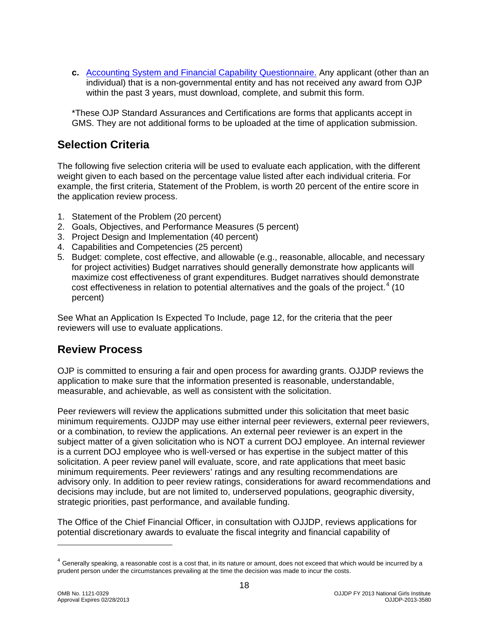**c.** [Accounting System and Financial Capability Questionnaire.](http://www.ojp.usdoj.gov/funding/forms/financial_capability.pdf) Any applicant (other than an individual) that is a non-governmental entity and has not received any award from OJP within the past 3 years, must download, complete, and submit this form.

\*These OJP Standard Assurances and Certifications are forms that applicants accept in GMS. They are not additional forms to be uploaded at the time of application submission.

# <span id="page-17-0"></span>**Selection Criteria**

The following five selection criteria will be used to evaluate each application, with the different weight given to each based on the percentage value listed after each individual criteria. For example, the first criteria, Statement of the Problem, is worth 20 percent of the entire score in the application review process.

- 1. Statement of the Problem (20 percent)
- 2. Goals, Objectives, and Performance Measures (5 percent)
- 3. Project Design and Implementation (40 percent)
- 4. Capabilities and Competencies (25 percent)
- 5. Budget: complete, cost effective, and allowable (e.g., reasonable, allocable, and necessary for project activities) Budget narratives should generally demonstrate how applicants will maximize cost effectiveness of grant expenditures. Budget narratives should demonstrate cost effectiveness in relation to potential alternatives and the goals of the project. [4](#page-17-2) (10 percent)

See What an Application Is Expected To Include, page 12, for the criteria that the peer reviewers will use to evaluate applications.

### <span id="page-17-1"></span>**Review Process**

OJP is committed to ensuring a fair and open process for awarding grants. OJJDP reviews the application to make sure that the information presented is reasonable, understandable, measurable, and achievable, as well as consistent with the solicitation.

Peer reviewers will review the applications submitted under this solicitation that meet basic minimum requirements. OJJDP may use either internal peer reviewers, external peer reviewers, or a combination, to review the applications. An external peer reviewer is an expert in the subject matter of a given solicitation who is NOT a current DOJ employee. An internal reviewer is a current DOJ employee who is well-versed or has expertise in the subject matter of this solicitation. A peer review panel will evaluate, score, and rate applications that meet basic minimum requirements. Peer reviewers' ratings and any resulting recommendations are advisory only. In addition to peer review ratings, considerations for award recommendations and decisions may include, but are not limited to, underserved populations, geographic diversity, strategic priorities, past performance, and available funding.

The Office of the Chief Financial Officer, in consultation with OJJDP, reviews applications for potential discretionary awards to evaluate the fiscal integrity and financial capability of

<span id="page-17-2"></span> $4$  Generally speaking, a reasonable cost is a cost that, in its nature or amount, does not exceed that which would be incurred by a prudent person under the circumstances prevailing at the time the decision was made to incur the costs.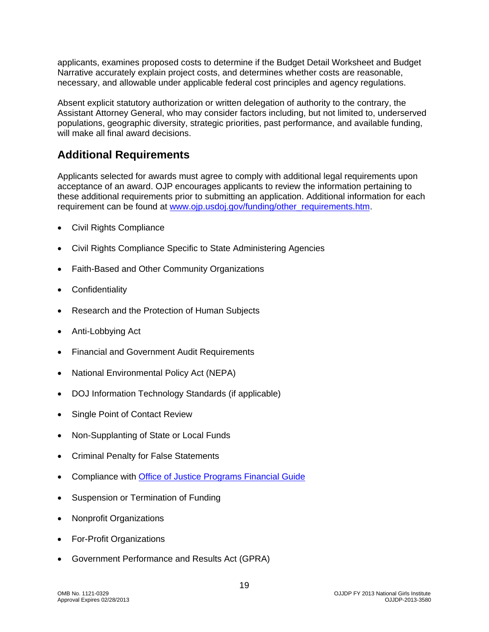applicants, examines proposed costs to determine if the Budget Detail Worksheet and Budget Narrative accurately explain project costs, and determines whether costs are reasonable, necessary, and allowable under applicable federal cost principles and agency regulations.

Absent explicit statutory authorization or written delegation of authority to the contrary, the Assistant Attorney General, who may consider factors including, but not limited to, underserved populations, geographic diversity, strategic priorities, past performance, and available funding, will make all final award decisions.

# <span id="page-18-0"></span>**Additional Requirements**

Applicants selected for awards must agree to comply with additional legal requirements upon acceptance of an award. OJP encourages applicants to review the information pertaining to these additional requirements prior to submitting an application. Additional information for each requirement can be found at [www.ojp.usdoj.gov/funding/other\\_requirements.htm.](http://www.ojp.usdoj.gov/funding/other_requirements.htm)

- [Civil Rights Compliance](http://www.ojp.usdoj.gov/about/ocr/statutes.htm)
- Civil Rights Compliance Specific to State Administering Agencies
- Faith-Based and Other Community Organizations
- **Confidentiality**
- Research and the Protection of Human Subjects
- Anti-Lobbying Act
- Financial and Government Audit Requirements
- National Environmental Policy Act (NEPA)
- DOJ Information Technology Standards (if applicable)
- Single Point of Contact Review
- Non-Supplanting of State or Local Funds
- Criminal Penalty for False Statements
- Compliance with [Office of Justice Programs](http://www.ojp.usdoj.gov/financialguide/index.htm) Financial Guide
- Suspension or Termination of Funding
- Nonprofit Organizations
- For-Profit Organizations
- Government Performance and Results Act (GPRA)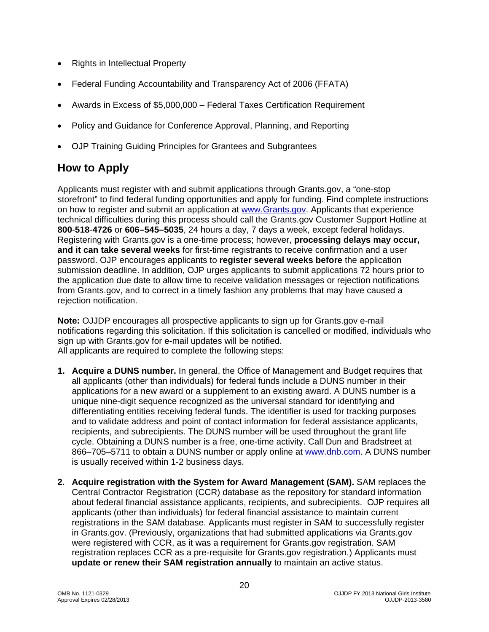- Rights in Intellectual Property
- Federal Funding Accountability and Transparency Act of 2006 (FFATA)
- Awards in Excess of \$5,000,000 Federal Taxes Certification Requirement
- Policy and Guidance for Conference Approval, Planning, and Reporting
- OJP Training Guiding Principles for Grantees and Subgrantees

# <span id="page-19-0"></span>**How to Apply**

Applicants must register with and submit applications through Grants.gov, a "one-stop storefront" to find federal funding opportunities and apply for funding. Find complete instructions on how to register and submit an application at [www.Grants.gov.](http://www.grants.gov/) Applicants that experience technical difficulties during this process should call the Grants.gov Customer Support Hotline at **800**-**518**-**4726** or **606–545–5035**, 24 hours a day, 7 days a week, except federal holidays. Registering with Grants.gov is a one-time process; however, **processing delays may occur, and it can take several weeks** for first-time registrants to receive confirmation and a user password. OJP encourages applicants to **register several weeks before** the application submission deadline. In addition, OJP urges applicants to submit applications 72 hours prior to the application due date to allow time to receive validation messages or rejection notifications from Grants.gov, and to correct in a timely fashion any problems that may have caused a rejection notification.

**Note:** OJJDP encourages all prospective applicants to sign up for Grants.gov e-mail notifications regarding this solicitation. If this solicitation is cancelled or modified, individuals who sign up with Grants.gov for e-mail updates will be notified. All applicants are required to complete the following steps:

- **1. Acquire a DUNS number.** In general, the Office of Management and Budget requires that all applicants (other than individuals) for federal funds include a DUNS number in their applications for a new award or a supplement to an existing award. A DUNS number is a unique nine-digit sequence recognized as the universal standard for identifying and differentiating entities receiving federal funds. The identifier is used for tracking purposes and to validate address and point of contact information for federal assistance applicants, recipients, and subrecipients. The DUNS number will be used throughout the grant life cycle. Obtaining a DUNS number is a free, one-time activity. Call Dun and Bradstreet at 866–705–5711 to obtain a DUNS number or apply online at [www.dnb.com.](http://www.dnb.com/) A DUNS number is usually received within 1-2 business days.
- **2. Acquire registration with the System for Award Management (SAM).** SAM replaces the Central Contractor Registration (CCR) database as the repository for standard information about federal financial assistance applicants, recipients, and subrecipients. OJP requires all applicants (other than individuals) for federal financial assistance to maintain current registrations in the SAM database. Applicants must register in SAM to successfully register in Grants.gov. (Previously, organizations that had submitted applications via Grants.gov were registered with CCR, as it was a requirement for Grants.gov registration. SAM registration replaces CCR as a pre-requisite for Grants.gov registration.) Applicants must **update or renew their SAM registration annually** to maintain an active status.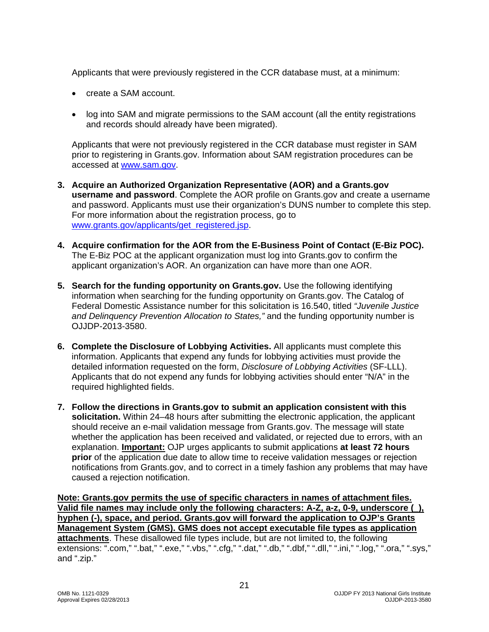Applicants that were previously registered in the CCR database must, at a minimum:

- create a SAM account.
- log into SAM and migrate permissions to the SAM account (all the entity registrations and records should already have been migrated).

Applicants that were not previously registered in the CCR database must register in SAM prior to registering in Grants.gov. Information about SAM registration procedures can be accessed at [www.sam.gov.](https://www.sam.gov/portal/public/SAM/?portal:componentId=1f834b82-3fed-4eb3-a1f8-ea1f226a7955&portal:type=action&interactionstate=JBPNS_rO0ABXc0ABBfanNmQnJpZGdlVmlld0lkAAAAAQATL2pzZi9uYXZpZ2F0aW9uLmpzcAAHX19FT0ZfXw**)

- **3. Acquire an Authorized Organization Representative (AOR) and a Grants.gov username and password**. Complete the AOR profile on Grants.gov and create a username and password. Applicants must use their organization's DUNS number to complete this step. For more information about the registration process, go to [www.grants.gov/applicants/get\\_registered.jsp.](http://www.grants.gov/applicants/get_registered.jsp)
- **4. Acquire confirmation for the AOR from the E-Business Point of Contact (E-Biz POC).** The E-Biz POC at the applicant organization must log into Grants.gov to confirm the applicant organization's AOR. An organization can have more than one AOR.
- **5. Search for the funding opportunity on Grants.gov.** Use the following identifying information when searching for the funding opportunity on Grants.gov. The Catalog of Federal Domestic Assistance number for this solicitation is 16.540, titled *"Juvenile Justice and Delinquency Prevention Allocation to States,"* and the funding opportunity number is OJJDP-2013-3580.
- **6. Complete the Disclosure of Lobbying Activities.** All applicants must complete this information. Applicants that expend any funds for lobbying activities must provide the detailed information requested on the form, *Disclosure of Lobbying Activities* (SF-LLL). Applicants that do not expend any funds for lobbying activities should enter "N/A" in the required highlighted fields.
- **7. Follow the directions in Grants.gov to submit an application consistent with this solicitation.** Within 24–48 hours after submitting the electronic application, the applicant should receive an e-mail validation message from Grants.gov. The message will state whether the application has been received and validated, or rejected due to errors, with an explanation. **Important:** OJP urges applicants to submit applications **at least 72 hours prior** of the application due date to allow time to receive validation messages or rejection notifications from Grants.gov, and to correct in a timely fashion any problems that may have caused a rejection notification.

**Note: Grants.gov permits the use of specific characters in names of attachment files. Valid file names may include only the following characters: A-Z, a-z, 0-9, underscore (\_), hyphen (-), space, and period. Grants.gov will forward the application to OJP's Grants Management System (GMS). GMS does not accept executable file types as application attachments**. These disallowed file types include, but are not limited to, the following extensions: ".com," ".bat," ".exe," ".vbs," ".cfg," ".dat," ".db," ".dbf," ".dll," ".ini," ".log," ".ora," ".sys," and ".zip."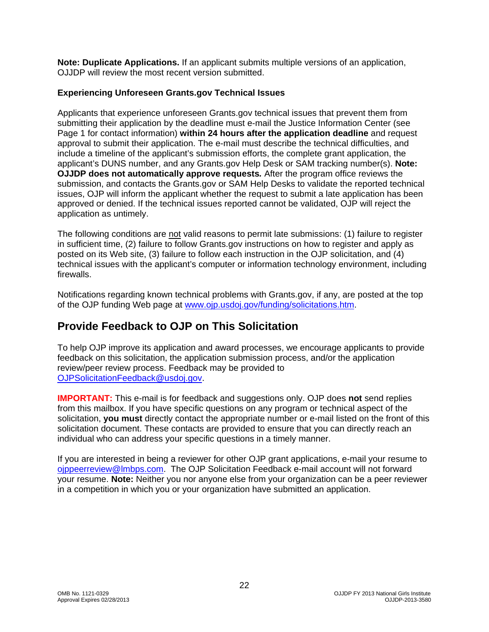**Note: Duplicate Applications.** If an applicant submits multiple versions of an application, OJJDP will review the most recent version submitted.

#### **Experiencing Unforeseen Grants.gov Technical Issues**

Applicants that experience unforeseen Grants.gov technical issues that prevent them from submitting their application by the deadline must e-mail the Justice Information Center (see Page 1 for contact information) **within 24 hours after the application deadline** and request approval to submit their application. The e-mail must describe the technical difficulties, and include a timeline of the applicant's submission efforts, the complete grant application, the applicant's DUNS number, and any Grants.gov Help Desk or SAM tracking number(s). **Note: OJJDP does not automatically approve requests***.* After the program office reviews the submission, and contacts the Grants.gov or SAM Help Desks to validate the reported technical issues, OJP will inform the applicant whether the request to submit a late application has been approved or denied. If the technical issues reported cannot be validated, OJP will reject the application as untimely.

The following conditions are not valid reasons to permit late submissions: (1) failure to register in sufficient time, (2) failure to follow Grants.gov instructions on how to register and apply as posted on its Web site, (3) failure to follow each instruction in the OJP solicitation, and (4) technical issues with the applicant's computer or information technology environment, including firewalls.

Notifications regarding known technical problems with Grants.gov, if any, are posted at the top of the OJP funding Web page at [www.ojp.usdoj.gov/funding/solicitations.htm.](http://www.ojp.gov/funding/solicitations.htm)

# <span id="page-21-0"></span>**Provide Feedback to OJP on This Solicitation**

To help OJP improve its application and award processes, we encourage applicants to provide feedback on this solicitation, the application submission process, and/or the application review/peer review process. Feedback may be provided to [OJPSolicitationFeedback@usdoj.gov.](mailto:OJPSolicitationFeedback@usdoj.gov)

**IMPORTANT:** This e-mail is for feedback and suggestions only. OJP does **not** send replies from this mailbox. If you have specific questions on any program or technical aspect of the solicitation, **you must** directly contact the appropriate number or e-mail listed on the front of this solicitation document. These contacts are provided to ensure that you can directly reach an individual who can address your specific questions in a timely manner.

If you are interested in being a reviewer for other OJP grant applications, e-mail your resume to [ojppeerreview@lmbps.com.](mailto:ojppeerreview@lmbps.com) The OJP Solicitation Feedback e-mail account will not forward your resume. **Note:** Neither you nor anyone else from your organization can be a peer reviewer in a competition in which you or your organization have submitted an application.